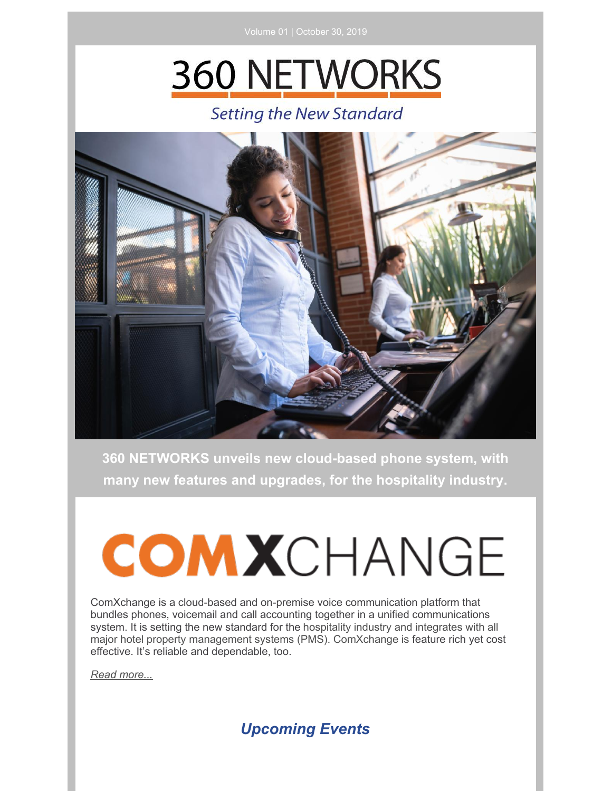# **360 NETWORKS**

## **Setting the New Standard**



**360 NETWORKS unveils new cloud-based phone system, with many new features and upgrades, for the hospitality industry.**

# **COMX**CHANGE

ComXchange is a cloud-based and on-premise voice communication platform that bundles phones, voicemail and call accounting together in a unified communications system. It is setting the new standard for the hospitality industry and integrates with all major hotel property management systems (PMS). ComXchange is feature rich yet cost effective. It's reliable and dependable, too.

*Read [more...](https://files.constantcontact.com/5cfeb3dd701/91efa4e8-2b94-4960-868f-78794cb7bbff.pdf)*

### *Upcoming Events*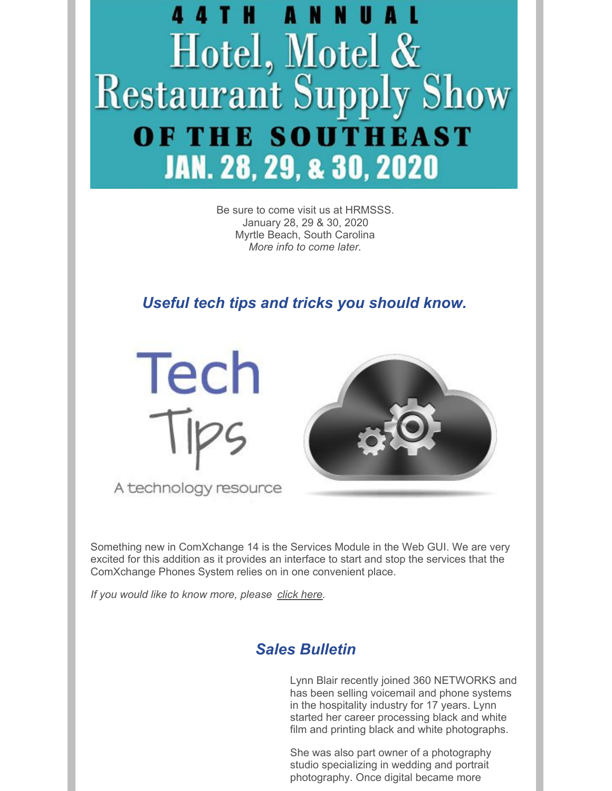

Be sure to come visit us at HRMSSS. January 28, 29 & 30, 2020 Myrtle Beach, South Carolina *More info to come later.*

*Useful tech tips and tricks you should know.*



A technology resource



Something new in ComXchange 14 is the Services Module in the Web GUI. We are very excited for this addition as it provides an interface to start and stop the services that the ComXchange Phones System relies on in one convenient place.

*If you would like to know more, please [click](https://files.constantcontact.com/5cfeb3dd701/5cd5bd2f-4c0e-447d-a832-b7861b86682e.pdf) here.*

#### *Sales Bulletin*

Lynn Blair recently joined 360 NETWORKS and has been selling voicemail and phone systems in the hospitality industry for 17 years. Lynn started her career processing black and white film and printing black and white photographs.

She was also part owner of a photography studio specializing in wedding and portrait photography. Once digital became more